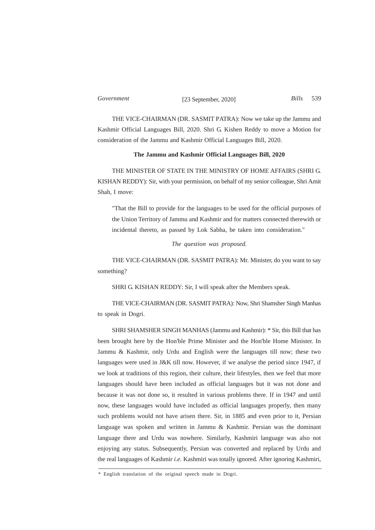THE VICE-CHAIRMAN (DR. SASMIT PATRA): Now we take up the Jammu and Kashmir Official Languages Bill, 2020. Shri G. Kishen Reddy to move a Motion for consideration of the Jammu and Kashmir Official Languages Bill, 2020.

### **The Jammu and Kashmir Official Languages Bill, 2020**

THE MINISTER OF STATE IN THE MINISTRY OF HOME AFFAIRS (SHRI G. KISHAN REDDY): Sir, with your permission, on behalf of my senior colleague, Shri Amit Shah, I move:

"That the Bill to provide for the languages to be used for the official purposes of the Union Territory of Jammu and Kashmir and for matters connected therewith or incidental thereto, as passed by Lok Sabha, be taken into consideration."

### *The question was proposed.*

THE VICE-CHAIRMAN (DR. SASMIT PATRA): Mr. Minister, do you want to say something?

SHRI G. KISHAN REDDY: Sir, I will speak after the Members speak.

THE VICE-CHAIRMAN (DR. SASMIT PATRA): Now, Shri Shamsher Singh Manhas to speak in Dogri.

SHRI SHAMSHER SINGH MANHAS (Jammu and Kashmir): \* Sir, this Bill that has been brought here by the Hon'ble Prime Minister and the Hon'ble Home Minister. In Jammu & Kashmir, only Urdu and English were the languages till now; these two languages were used in J&K till now. However, if we analyse the period since 1947, if we look at traditions of this region, their culture, their lifestyles, then we feel that more languages should have been included as official languages but it was not done and because it was not done so, it resulted in various problems there. If in 1947 and until now, these languages would have included as official languages properly, then many such problems would not have arisen there. Sir, in 1885 and even prior to it, Persian language was spoken and written in Jammu & Kashmir. Persian was the dominant language there and Urdu was nowhere. Similarly, Kashmiri language was also not enjoying any status. Subsequently, Persian was converted and replaced by Urdu and the real languages of Kashmir *i.e.* Kashmiri was totally ignored. After ignoring Kashmiri,

<sup>\*</sup> English translation of the original speech made in Dogri.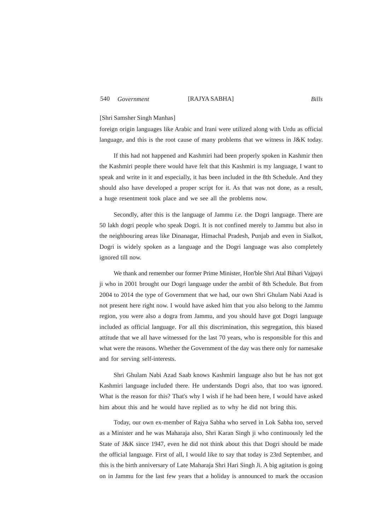### 540 [RAJYA SABHA] *Government Bills*

### [Shri Samsher Singh Manhas]

foreign origin languages like Arabic and Irani were utilized along with Urdu as official language, and this is the root cause of many problems that we witness in J&K today.

If this had not happened and Kashmiri had been properly spoken in Kashmir then the Kashmiri people there would have felt that this Kashmiri is my language, I want to speak and write in it and especially, it has been included in the 8th Schedule. And they should also have developed a proper script for it. As that was not done, as a result, a huge resentment took place and we see all the problems now.

Secondly, after this is the language of Jammu *i.e.* the Dogri language. There are 50 lakh dogri people who speak Dogri. It is not confined merely to Jammu but also in the neighbouring areas like Dinanagar, Himachal Pradesh, Punjab and even in Sialkot, Dogri is widely spoken as a language and the Dogri language was also completely ignored till now.

We thank and remember our former Prime Minister, Hon'ble Shri Atal Bihari Vajpayi ji who in 2001 brought our Dogri language under the ambit of 8th Schedule. But from 2004 to 2014 the type of Government that we had, our own Shri Ghulam Nabi Azad is not present here right now. I would have asked him that you also belong to the Jammu region, you were also a dogra from Jammu, and you should have got Dogri language included as official language. For all this discrimination, this segregation, this biased attitude that we all have witnessed for the last 70 years, who is responsible for this and what were the reasons. Whether the Government of the day was there only for namesake and for serving self-interests.

Shri Ghulam Nabi Azad Saab knows Kashmiri language also but he has not got Kashmiri language included there. He understands Dogri also, that too was ignored. What is the reason for this? That's why I wish if he had been here, I would have asked him about this and he would have replied as to why he did not bring this.

Today, our own ex-member of Rajya Sabha who served in Lok Sabha too, served as a Minister and he was Maharaja also, Shri Karan Singh ji who continuously led the State of J&K since 1947, even he did not think about this that Dogri should be made the official language. First of all, I would like to say that today is 23rd September, and this is the birth anniversary of Late Maharaja Shri Hari Singh Ji. A big agitation is going on in Jammu for the last few years that a holiday is announced to mark the occasion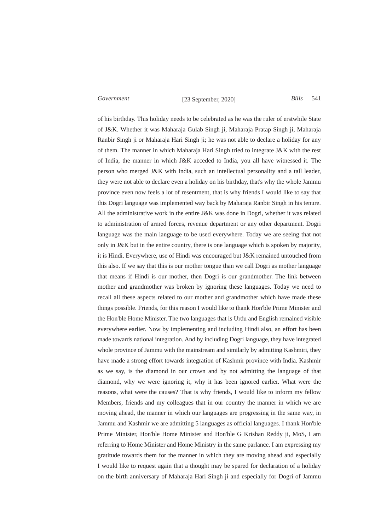## [23 September, 2020] 541 *Government Bills*

of his birthday. This holiday needs to be celebrated as he was the ruler of erstwhile State of J&K. Whether it was Maharaja Gulab Singh ji, Maharaja Pratap Singh ji, Maharaja Ranbir Singh ji or Maharaja Hari Singh ji; he was not able to declare a holiday for any of them. The manner in which Maharaja Hari Singh tried to integrate J&K with the rest of India, the manner in which J&K acceded to India, you all have witnessed it. The person who merged J&K with India, such an intellectual personality and a tall leader, they were not able to declare even a holiday on his birthday, that's why the whole Jammu province even now feels a lot of resentment, that is why friends I would like to say that this Dogri language was implemented way back by Maharaja Ranbir Singh in his tenure. All the administrative work in the entire J&K was done in Dogri, whether it was related to administration of armed forces, revenue department or any other department. Dogri language was the main language to be used everywhere. Today we are seeing that not only in J&K but in the entire country, there is one language which is spoken by majority, it is Hindi. Everywhere, use of Hindi was encouraged but J&K remained untouched from this also. If we say that this is our mother tongue than we call Dogri as mother language that means if Hindi is our mother, then Dogri is our grandmother. The link between mother and grandmother was broken by ignoring these languages. Today we need to recall all these aspects related to our mother and grandmother which have made these things possible. Friends, for this reason I would like to thank Hon'ble Prime Minister and the Hon'ble Home Minister. The two languages that is Urdu and English remained visible everywhere earlier. Now by implementing and including Hindi also, an effort has been made towards national integration. And by including Dogri language, they have integrated whole province of Jammu with the mainstream and similarly by admitting Kashmiri, they have made a strong effort towards integration of Kashmir province with India. Kashmir as we say, is the diamond in our crown and by not admitting the language of that diamond, why we were ignoring it, why it has been ignored earlier. What were the reasons, what were the causes? That is why friends, I would like to inform my fellow Members, friends and my colleagues that in our country the manner in which we are moving ahead, the manner in which our languages are progressing in the same way, in Jammu and Kashmir we are admitting 5 languages as official languages. I thank Hon'ble Prime Minister, Hon'ble Home Minister and Hon'ble G Krishan Reddy ji, MoS, I am referring to Home Minister and Home Ministry in the same parlance. I am expressing my gratitude towards them for the manner in which they are moving ahead and especially I would like to request again that a thought may be spared for declaration of a holiday on the birth anniversary of Maharaja Hari Singh ji and especially for Dogri of Jammu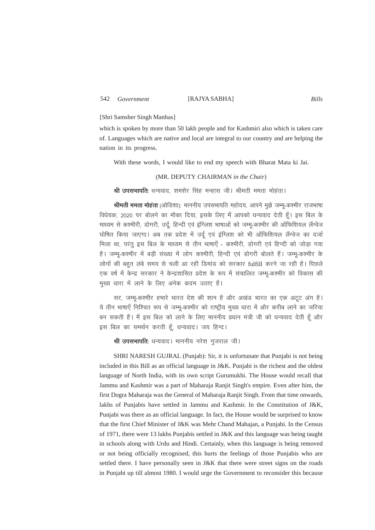### 542 [RAJYA SABHA] *Government Bills*

### [Shri Samsher Singh Manhas]

which is spoken by more than 50 lakh people and for Kashmiri also which is taken care of. Languages which are native and local are integral to our country and are helping the nation in its progress.

With these words, I would like to end my speech with Bharat Mata ki Jai.

### (MR. DEPUTY CHAIRMAN *in the Chair*)

<mark>श्री उपसभापति</mark>ः धन्यवाद, शमशेर सिंह मन्हास जी। श्रीमती ममता मोहंता।

<mark>श्रीमती ममता मोहंता</mark> (ओडिशा): माननीय उपसभापति महोदय, आपने मुझे जम्मू-कश्मीर राजभाषा विधेयक, 2020 पर बोलने का मौका दिया, इसके लिए मैं आपको धन्यवाद देती हूँ। इस बिल के माध्यम से कश्मीरी, डोगरी, उर्दू, हिन्दी एवं इंग्लिश भाषाओं को जम्मू-कश्मीर की ऑफिशियल लैंग्वेज घोषित किया जाएगा। अब तक प्रदेश में उर्दू एवं इंग्लिश को भी ऑफिशियल लैंग्वेज का दर्जा भिला था, परंतु इस बिल के माध्यम से तीन भाषाएँ - कश्मीरी, डोगरी एवं हिन्दी को जोड़ा गया है। जम्मू-कश्मीर में बड़ी संख्या में लोग कश्मीरी, हिन्दी एवं डोगरी बोलते हैं। जम्मू-कश्मीर के लोगों की बहुत लंबे समय से चली आ रही डिमांड को सरकार fulfill करने जा रही है। पिछले एक वर्ष में केन्द्र सरकार ने केन्द्रशासित प्रदेश के रूप में संचालित जम्मू-कश्मीर को विकास की मुख्य धारा में लाने के लिए अनेक कदम उठाए हैं।

सर, जम्मू-कश्मीर हमारे भारत देश की शान है और अखंड भारत का एक अटूट अंग है। ये तीन भाषाएँ निश्चित रूप से जम्मू-कश्मीर को राष्ट्रीय मुख्य धारा में और करीब लाने का जरिया बन सकती हैं। मैं इस बिल को लाने के लिए माननीय प्रधान मंत्री जी को धन्यवाद देती हूँ और इस बिल का समर्थन करती हूँ, धन्यवाद। जय हिन्द।

**श्री उपसभापति**: धन्यवाद। माननीय नरेश गुजराल जी।

SHRI NARESH GUJRAL (Punjab): Sir, it is unfortunate that Punjabi is not being included in this Bill as an official language in J&K. Punjabi is the richest and the oldest language of North India, with its own script Gurumukhi. The House would recall that Jammu and Kashmir was a part of Maharaja Ranjit Singh's empire. Even after him, the first Dogra Maharaja was the General of Maharaja Ranjit Singh. From that time onwards, lakhs of Punjabis have settled in Jammu and Kashmir. In the Constitution of J&K, Punjabi was there as an official language. In fact, the House would be surprised to know that the first Chief Minister of J&K was Mehr Chand Mahajan, a Punjabi. In the Census of 1971, there were 13 lakhs Punjabis settled in J&K and this language was being taught in schools along with Urdu and Hindi. Certainly, when this language is being removed or not being officially recognised, this hurts the feelings of those Punjabis who are settled there. I have personally seen in  $J\&K$  that there were street signs on the roads in Punjabi up till almost 1980. I would urge the Government to reconsider this because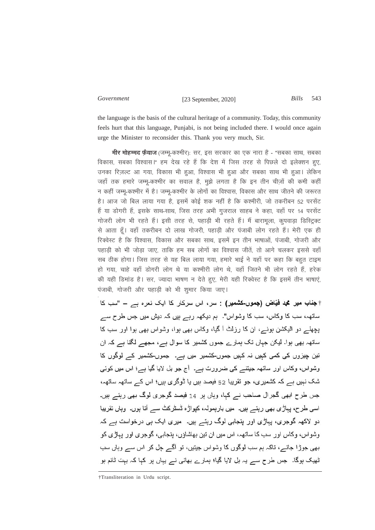[23 September, 2020] 543 *Government Bills*

the language is the basis of the cultural heritage of a community. Today, this community feels hurt that this language, Punjabi, is not being included there. I would once again urge the Minister to reconsider this. Thank you very much, Sir.

**मीर मोहम्मद फ़ेंयाज** (जम्मू-कश्मीर): सर, इस सरकार का एक नारा है - "सबका साथ, सबका विकास, सबका विश्वास।" हम देख रहे हैं कि देश में जिस तरह से पिछले दो इलेक्शन हुए, उनका रिज़ल्ट आ गया, विकास भी हुआ, विश्वास भी हुआ और सबका साथ भी हुआ। लेकिन जहाँ तक हमारे जम्मू-कश्मीर का सवाल है, मुझे लगता है कि इन तीन चीज़ों की कमी कहीं न कहीं जम्मू-कश्मीर में है। जम्मू-कश्मीर के लोगों का विश्वास, विकास और साथ जीतने की जरूरत है। आज जो बिल लाया गया है, इसमें कोई शक नहीं है कि कश्मीरी, जो तकरीबन 52 परसेंट हैं या डोगरी हैं, इसके साथ-साथ, जिस तरह अभी गुजराल साहब ने कहा, वहाँ पर 14 परसेंट गोजरी लोग भी रहते हैं। इसी तरह से, पहाड़ी भी रहते हैं। मैं बारामूला, कृपवाड़ा डिस्ट्रिक्ट से आता हूँ। वहाँ तकरीबन दो लाख गोजरी, पहाड़ी और पंजाबी लोग रहते हैं। मेरी एक ही रिक्वेस्ट है कि विश्वास, विकास और सबका साथ, इसमें इन तीन भाषाओं, पंजाबी, गोजरी और पहाड़ी को भी जोड़ा जाए, ताकि हम सब लोगों का विश्वास जीतें, तो आगे चलकर इससे वहाँ सब ठीक होगा। जिस तरह से यह बिल लाया गया. हमारे भाई ने यहाँ पर कहा कि बहत टाइम हो गया, चाहे वहाँ डोगरी लोग थे या कश्मीरी लोग थे, वहाँ जितने भी लोग रहते हैं, हरेक की यही डिमांड है। सर, ज्यादा भाषण न देते हुए, मेरी यही रिक्वेस्ट है कि इसमें तीन भाषाएं, पंजाबी, गोजरी और पहाड़ी को भी शुमार किया जाए।

† جناب میر محد فیَاض (جموں کشمیر) : سر، اس سرکار کا ایک نعرہ ہے – "سب کا ساتھہ، سب کا وکاس، سب کا وشواس"۔ ہم دیکھہ رہے ہیں کہ دیش میں جس طرح سے پچھلے دو الیکشن ہونے، ان کا رزلتْ آ گیا، وکاس بھی ہوا، وشواس بھی ہوا اور سب کا ساتھہ بھی ہوا۔ لیکن جہاں تک ہمارے جموں کشمیر کا سوال ہے، مجھے لگتا ہے کہ ان تین چیزوں کی کمی کہیں نہ کہیں جموں۔کشمیر میں ہے۔ جموں۔کشمیر کے لوگوں کا وشواس، وکاس اور ساتھہ جیتنے کی ضرورت ہے۔ آج جو بل لایا گیا ہے؛ اس میں کونی شک نہیں ہے کہ کشمیری، جو تقریبا 52 فیصد ہیں یا ڈوگری ہیں؛ اس کے ساتھہ ساتھہ، جس طرح ابھی گجرال صاحب نے کہا، وہاں پر 14 فیصد گوجری لوگ بھی رہتے ہیں۔ اسی طرح، پہاڑی بھی رہتے ہیں۔ میں بارہمولہ، کیواڑہ ڈسٹرکٹ سے آتا ہوں۔ وہاں تقریبا دو لاکھہ گوجری، پہاڑی اور پنجابی لوگ رہتے ہیں۔ میری ایک ہی درخواست ہے کہ وشواس، وکاس اور سب کا ساتھہ، اس میں ان تین بھاشاؤں، پنجابی، گوجری اور پہاڑی کو بھی جوڑا جانے، تاکہ ہم سب لوگوں کا وشواس جیتیں، تو آگے جِل کر اس سے وہاں سب ٹھیک ہوگا۔ جس طرح سے یہ بل لایا گیا؛ ہمارے بھانی نے یہاں پر کہا کہ بہت ثانم ہو

<sup>†</sup>Transliteration in Urdu script.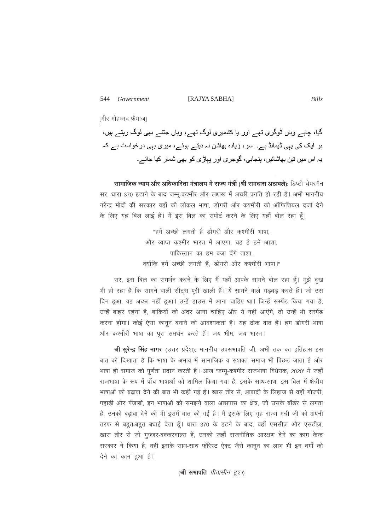।मीर मोहम्मद फ़ैयाजा

گیا، چاہے وہاں ڈوگری تھے اور یا کشمیری لوگ تھے، وہاں جتنے بھی لوگ رہتے ہیں، ہر ایک کی یہی ڈیمانڈ ہے۔ سر ، زیادہ بھاشن نہ دیتے ہوئے، میری یہی درخواست ہے کہ یہ اس میں تین بھاشانیں، پنجابی، گوجری اور پہاڑی کو بھی شمار کیا جائے۔

सामाजिक न्याय और अधिकारिता मंत्रालय में राज्य मंत्री (श्री रामदास अठावले): डिप्टी चेयरमैन सर, धारा 370 हटाने के बाद जम्मू-कश्मीर और लद्दाख में अच्छी प्रगति हो रही है। अभी माननीय नरेन्द्र मोदी की सरकार वहाँ की लोकल भाषा, डोगरी और कश्मीरी को ऑफिशियल दर्जा देने के लिए यह बिल लाई है। मैं इस बिल का सपोर्ट करने के लिए यहाँ बोल रहा हूँ।

> "हमें अच्छी लगती है डोगरी और कश्मीरी भाषा और व्याप्त कश्मीर भारत में आएगा. यह है हमें आशा. पाकिस्तान का हम बजा देंगे ताशा क्योंकि हमें अच्छी लगती है. डोगरी और कश्मीरी भाषा।"

सर, इस बिल का समर्थन करने के लिए मैं यहाँ आपके सामने बोल रहा हूँ। मुझे दुख भी हो रहा है कि सामने वाली सीट्स पूरी खाली हैं। ये सामने वाले गड़बड़ करते हैं। जो उस दिन हुआ. वह अच्छा नहीं हुआ। उन्हें हाउस में आना चाहिए था। जिन्हें सस्पेंड किया गया है. उन्हें बाहर रहना है, बाकियों को अंदर आना चाहिए और ये नहीं आएंगे, तो उन्हें भी सस्पेंड करना होगा। कोई ऐसा कानून बनाने की आवश्यकता है। यह ठीक बात है। हम डोगरी भाषा और कश्मीरी भाषा का पूरा समर्थन करते हैं। जय भीम, जय भारत।

श्री सूरेन्द्र सिंह नागर (उत्तर प्रदेश): माननीय उपसभापति जी, अभी तक का इतिहास इस बात को दिखाता है कि भाषा के अभाव में सामाजिक व सशक्त समाज भी पिछड़ जाता है और भाषा ही समाज को पूर्णता प्रदान करती है। आज 'जम्मू-कश्मीर राजभाषा विधेयक, 2020' में जहाँ राजभाषा के रूप में पाँच भाषाओं को शामिल किया गया है: इसके साथ-साथ, इस बिल में क्षेत्रीय भाषाओं को बढावा देने की बात भी कही गई है। खास तौर से, आबादी के लिहाज से वहाँ गोजरी, पहाड़ी और पंजाबी, इन भाषाओं को समझने वाला आसपास का क्षेत्र, जो उसके बॉर्डर से लगता है, उनको बढ़ावा देने की भी इसमें बात की गई है। मैं इसके लिए गृह राज्य मंत्री जी को अपनी तरफ से बहत-बहुत बधाई देता हैं। धारा 370 के हटने के बाद, वहाँ एससीज़ और एसटीज़, खास तौर से जो गुज्जर-बक्करवाल्स हैं, उनको जहाँ राजनीतिक आरक्षण देने का काम केन्द्र सरकार ने किया है. वहीं इसके साथ-साथ फॉरेस्ट ऐक्ट जैसे कानन का लाभ भी इन वर्गों को देने का काम हुआ है।

(श्री सभापति *पीठासीन हए।*)

**Bills**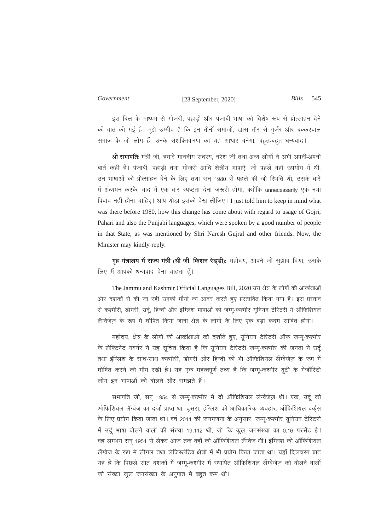[23 September, 2020] 545 *Government Bills*

इस बिल के माध्यम से गोजरी. पहाड़ी और पंजाबी भाषा को विशेष रूप से प्रोत्साहन देने की बात की गई है। मूझे उम्मीद है कि इन तीनों समाजों, खास तौर से गूर्जर और बक्करवाल समाज के जो लोग हैं, उनके सशक्तिकरण का यह आधार बनेगा, बहुत-बहुत धन्यवाद।

**श्री सभापति**: मंत्री जी, हमारे माननीय सदस्य, नरेश जी तथा अन्य लोगों ने अभी अपनी-अपनी बातें कही हैं। पंजाबी, पहाड़ी तथा गोजरी आदि क्षेत्रीय भाषाएँ, जो पहले वहाँ उपयोग में थीं, उन भाषाओं को प्रोत्साहन देने के लिए तथा सन् 1980 से पहले की जो स्थिति थी, उसके बारे में अध्ययन करके, बाद में एक बार स्पष्टता देना जरूरी होगा, क्योंकि unnecessarily एक नया विवाद नहीं होना चाहिए। आप थोड़ा इसको देख लीजिए। I just told him to keep in mind what was there before 1980, how this change has come about with regard to usage of Gojri, Pahari and also the Punjabi languages, which were spoken by a good number of people in that State, as was mentioned by Shri Naresh Gujral and other friends. Now, the Minister may kindly reply.

**गृह मंत्रालय में राज्य मंत्री (श्री जी किशन रेड्डी): महोदय, आपने जो सुझाव दिया, उसके** लिए मैं आपको धन्यवाद देना चाहता हूँ।

The Jammu and Kashmir Official Languages Bill, 2020 उस क्षेत्र के लोगों की आकांक्षाओं और दशकों से की जा रही उनकी माँगों का आदर करते हुए प्रस्तावित किया गया है। इस प्रस्ताव से कश्मीरी, डोगरी, उर्दू, हिन्दी और इंग्लिश भाषाओं को जम्मू-कश्मीर यूनियन टेरिटरी में ऑफिशियल लैंग्वेजे़ज के रूप में घोषित किया जाना क्षेत्र के लोगों के लिए एक बड़ा कदम साबित होगा।

महोदय, क्षेत्र के लोगों की आकांक्षाओं को दर्शाते हुए, यूनियन टेरिटरी ऑफ जम्मू-कश्मीर के लेफ्टिनेंट गवर्नर ने यह सूचित किया है कि यूनियन टेरिटरी जम्मू-कश्मीर की जनता ने उर्दू तथा इंग्लिश के साथ-साथ कश्मीरी, डोगरी और हिन्दी को भी ऑफिशियल लैंग्वेजे़ज़ के रूप में धोषित करने की माँग रखी है। यह एक महत्वपूर्ण तथ्य है कि जम्मू-कश्मीर यूटी के मेजॉरिटी लोग इन भाषाओं को बोलते और समझते हैं।

सभापति जी, सन् 1954 से जम्मू-कश्मीर में दो ऑफिशियल लैंग्वेजेज़ थीं। एक, उर्दू को ऑफिशियल लैंग्वेज का दर्जा प्राप्त था, दूसरा, इंग्लिश को आधिकारिक व्यवहार, ऑफिशियल वर्क्स के लिए प्रयोग किया जाता था। वर्ष 2011 की जनगणना के अनुसार, जम्मू-कश्मीर यूनियन टेरिटरी में उर्दू भाषा बोलने वालों की संख्या 19,112 थी, जो कि कूल जनसंख्या का 0.16 परसेंट है। वह लगभग सन 1954 से लेकर आज तक वहाँ की ऑफिशियल लैंग्वेज थी। इंग्लिश को ऑफिशियल ँलेंग्वेज के रूप में लीगल तथा लेजिस्लेटिव क्षेत्रों में भी प्रयोग किया जाता था। यहाँ दिलचस्प बात यह है कि पिछले सात दशकों में जम्मू-कश्मीर में स्थापित ऑफिशियल लैंग्वेजेज़ को बोलने वालों की संख्या कूल जनसंख्या के अनुपात में बहुत कम थी।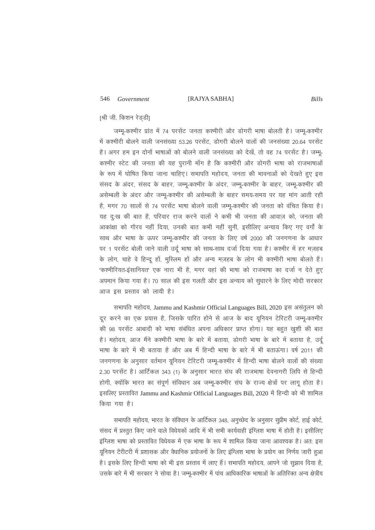### [श्री जी. किशन रेड्डी]

जम्मू-कश्मीर प्रांत में 74 परसेंट जनता कश्मीरी और डोगरी भाषा बोलती है। जम्मू-कश्मीर में कश्मीरी बोलने वाली जनसंख्या 53.26 परसेंट, डोगरी बोलने वालों की जनसंख्या 20.64 परसेंट है। अगर हम इन दोनों भाषाओं को बोलने वाली जनसंख्या को देखें, तो वह 74 परसेंट है। जम्म-कश्मीर स्टेट की जनता की यह पूरानी माँग है कि कश्मीरी और डोगरी भाषा को राजभाषाओं के रूप में घोषित किया जाना चाहिए। सभापति महोदय, जनता की भावनाओं को देखते हुए इस संसद के अंदर, संसद के बाहर, जम्मु-कश्मीर के अंदर, जम्मु-कश्मीर के बाहर, जम्मु-कश्मीर की असेम्बली के अंदर और जम्मू-कश्मीर की असेम्बली के बाहर समय-समय पर यह मांग आती रही है, मगर 70 सालों से 74 परसेंट भाषा बोलने वाली जम्मू-कश्मीर की जनता को वंचित किया है। यह दू:ख की बात है, परिवार राज करने वालों ने कभी भी जनता की आवाज़ को, जनता की आकांक्षा को गौरव नहीं दिया, उनकी बात कभी नहीं सुनी, इसीलिए अन्याय किए गए वर्गों के साथ और भाषा के ऊपर जम्म-कश्मीर की जनता के लिए वर्ष 2000 की जनगणना के आधार पर 1 परसेंट बोली जाने वाली उर्दू भाषा को साथ-साथ दर्जा दिया गया है। कश्मीर में हर मज़हब के लोग, चाहे वे हिन्दू हों, मुस्लिम हों और अन्य मज़हब के लोग भी कश्मीरी भाषा बोलते हैं। 'कश्मीरियत-इंसानियत' एक नारा भी है, मगर वहां की भाषा को राजभाषा का दर्जा न देते हुए अपमान किया गया है। 70 साल की इस गलती और इस अन्याय को सुधारने के लिए मोदी सरकार आज इस प्रस्ताव को लायी है।

सभापति महोदय, Jammu and Kashmir Official Languages Bill, 2020 इस असंतुलन को दूर करने का एक प्रयास है, जिसके पारित होने से आज के बाद यूनियन टेरिटरी जम्मू-कश्मीर की 98 परसेंट आबादी को भाषा संबंधित अपना अधिकार प्राप्त होगा। यह बहुत खुशी की बात है। महोदय, आज मैंने कश्मीरी भाषा के बारे में बताया, डोगरी भाषा के बारे में बताया है, उर्दू भाषा के बारे में भी बताया है और अब मैं हिन्दी भाषा के बारे में भी बताऊंगा। वर्ष 2011 की जनगणना के अनुसार वर्तमान यूनियन टेरिटरी जम्मू-कश्मीर में हिन्दी भाषा बोलने वालों की संख्या 2.30 परसेंट है। आर्टिकल 343 (1) के अनुसार भारत संघ की राजभाषा देवनागरी लिपि से हिन्दी होगी, क्योंकि भारत का संपूर्ण संविधान अब जम्मू-कश्मीर संघ के राज्य क्षेत्रों पर लागू होता है। इसलिए प्रस्तावित Jammu and Kashmir Official Languages Bill, 2020 में हिन्दी को भी शामिल किया गया है।

सभापति महोदय, भारत के संविधान के आर्टिकल 348, अनुच्छेद के अनुसार सुप्रीम कोर्ट, हाई कोर्ट, संसद में प्रस्तत किए जाने वाले विधेयकों आदि में भी सभी कार्यवाही इंग्लिश भाषा में होती है। इसीलिए इंग्लिश भाषा को प्रस्तावित विधेयक में एक भाषा के रूप में शामिल किया जाना आवश्यक है। अत: इस युनियन टैरीटरी में प्रशासक और वैधानिक प्रयोजनों के लिए इंग्लिश भाषा के प्रयोग का निर्णय जारी हुआ है। इसके लिए हिन्दी भाषा को भी इस प्रस्ताव में लाए हैं। सभापति महोदय, आपने जो सूझाव दिया है, उसके बारे में भी सरकार ने सोचा है। जम्मू-कश्मीर में पांच आधिकारिक भाषाओं के अतिरिक्त अन्य क्षेत्रीय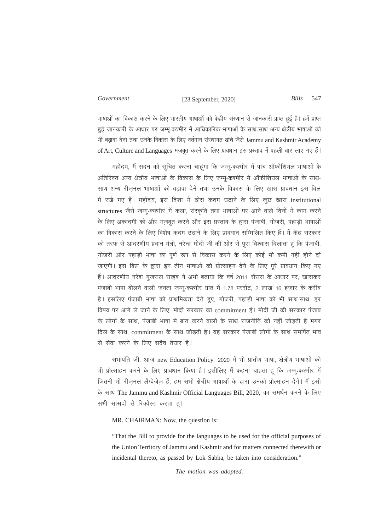## [23 September, 2020] 547 *Government Bills*

भाषाओं का विकास करने के लिए भारतीय भाषाओं को केंद्रीय संस्थान से जानकारी प्राप्त हुई है। हमें प्राप्त हुई जानकारी के आधार पर जम्मू-कश्मीर में आधिकारिक भाषाओं के साथ-साथ अन्य क्षेत्रीय भाषाओं को भी बढावा देना तथा उनके विकास के लिए वर्तमान संस्थागत ढांचे जैसे Jammu and Kashmir Academy of Art, Culture and Languages मज़बूत करने के लिए प्रावधान इस प्रस्ताव में पहली बार लाए गए हैं।

महोदय, मैं सदन को सूचित करना चाहूंगा कि जम्मू-कश्मीर में पांच ऑफीशियल भाषाओं के अतिरिक्त अन्य क्षेत्रीय भाषाओं के विकास के लिए जम्मू-कश्मीर में ऑफीशियल भाषाओं के साथ-साथ अन्य रीज़नल भाषाओं को बढ़ावा देने तथा उनके विकास के लिए खास प्रावधान इस बिल में रखे गए हैं। महोदय, इस दिशा में ठोस कदम उठाने के लिए कूछ खास institutional structures जैसे जम्मू-कश्मीर में कला, संस्कृति तथा भाषाओं पर आने वाले दिनों में काम करने के लिए अकादमी को और मज़बूत करने और इस प्रस्ताव के द्वारा पंजाबी, गोजरी, पहाड़ी भाषाओं का विकास करने के लिए विशेष कदम उठाने के लिए प्रावधान सम्मिलित किए हैं। मैं केंद्र सरकार की तरफ से आदरणीय प्रधान मंत्री, नरेन्द्र मोदी जी की ओर से पूरा विश्वास दिलाता हूं कि पंजाबी, गोजरी और पहाड़ी भाषा का पूर्ण रूप से विकास करने के लिए कोई भी कमी नहीं होने दी जाएगी। इस बिल के द्वारा इन तीन भाषाओं को प्रोत्साहन देने के लिए पूरे प्रावधान किए गए हैं। आदरणीय नरेश गुजराल साहब ने अभी बताया कि वर्ष 2011 सेंसस के आधार पर, खासकर पंजाबी भाषा बोलने वाली जनता जम्मू-कश्मीर प्रांत में 1.78 परसेंट, 2 लाख 16 हज़ार के करीब है। इसलिए पंजाबी भाषा को प्राथमिकता देते हुए, गोजरी, पहाड़ी भाषा को भी साथ-साथ, हर विषय पर आगे ले जाने के लिए. मोदी सरकार का commitment है। मोदी जी की सरकार पंजाब के लोगों के साथ, पंजाबी भाषा में बात करने वालों के साथ राजनीति को नहीं जोड़ती है मगर दिल के साथ, commitment के साथ जोड़ती है। यह सरकार पंजाबी लोगों के साथ समर्पित भाव से सेवा करने के लिए सदैव तैयार है।

सभापति जी, आज new Education Policy, 2020 में भी प्रांतीय भाषा, क्षेत्रीय भाषाओं को भी प्रोत्साहन करने के लिए प्रावधान किया है। इसीलिए मैं कहना चाहता हूं कि जम्मू-कश्मीर में जितनी भी रीज़नल लैंग्वेजेज़ हैं, हम सभी क्षेत्रीय भाषाओं के द्वारा उनको प्रोत्साहन देंगे। मैं इसी के साथ The Jammu and Kashmir Official Languages Bill, 2020, का समर्थन करने के लिए सभी सांसदों से रिक्वेस्ट करता हूं।

MR. CHAIRMAN: Now, the question is:

"That the Bill to provide for the languages to be used for the official purposes of the Union Territory of Jammu and Kashmir and for matters connected therewith or incidental thereto, as passed by Lok Sabha, be taken into consideration."

*The motion was adopted.*